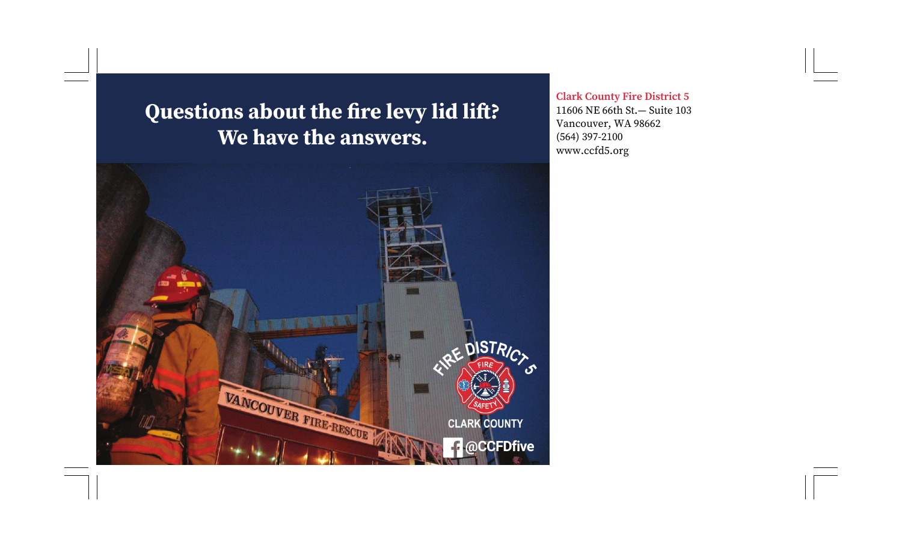# **Questions about the fire levy lid li ft? We have the answers.**

**Clark County Fire District 5**  11606 NE 66th St.— Suite 103 Vancouver, WA 98662 (564) 397-2100 www.ccfd5.org